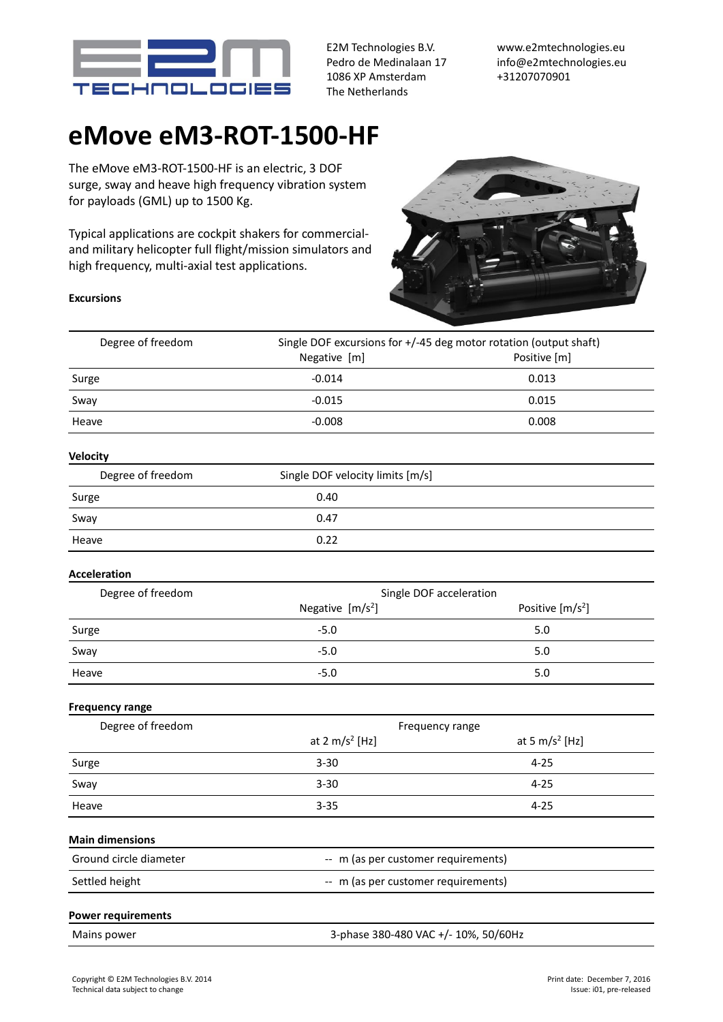

E2M Technologies B.V. Pedro de Medinalaan 17 1086 XP Amsterdam The Netherlands

www.e2mtechnologies.eu info@e2mtechnologies.eu +31207070901

## **eMove eM3-ROT-1500-HF**

The eMove eM3-ROT-1500-HF is an electric, 3 DOF surge, sway and heave high frequency vibration system for payloads (GML) up to 1500 Kg.

Typical applications are cockpit shakers for commercialand military helicopter full flight/mission simulators and high frequency, multi-axial test applications.



## **Excursions**

| Degree of freedom         | Single DOF excursions for +/-45 deg motor rotation (output shaft)<br>Negative [m]<br>Positive [m] |                            |
|---------------------------|---------------------------------------------------------------------------------------------------|----------------------------|
|                           |                                                                                                   |                            |
| Surge                     | $-0.014$                                                                                          | 0.013                      |
| Sway                      | $-0.015$                                                                                          | 0.015                      |
| Heave                     | $-0.008$                                                                                          | 0.008                      |
| <b>Velocity</b>           |                                                                                                   |                            |
| Degree of freedom         | Single DOF velocity limits [m/s]                                                                  |                            |
| Surge                     | 0.40                                                                                              |                            |
| Sway                      | 0.47                                                                                              |                            |
| Heave                     | 0.22                                                                                              |                            |
| Acceleration              |                                                                                                   |                            |
| Degree of freedom         | Single DOF acceleration                                                                           |                            |
|                           | Negative $[m/s^2]$                                                                                | Positive $[m/s^2]$         |
| Surge                     | $-5.0$                                                                                            | 5.0                        |
| Sway                      | $-5.0$                                                                                            | 5.0                        |
| Heave                     | $-5.0$                                                                                            | 5.0                        |
| <b>Frequency range</b>    |                                                                                                   |                            |
| Degree of freedom         | Frequency range                                                                                   |                            |
|                           | at 2 $m/s^2$ [Hz]                                                                                 | at 5 m/s <sup>2</sup> [Hz] |
| Surge                     | $3 - 30$                                                                                          | $4 - 25$                   |
| Sway                      | $3 - 30$                                                                                          | $4 - 25$                   |
| Heave                     | $3 - 35$                                                                                          | $4 - 25$                   |
| <b>Main dimensions</b>    |                                                                                                   |                            |
| Ground circle diameter    | -- m (as per customer requirements)                                                               |                            |
| Settled height            | -- m (as per customer requirements)                                                               |                            |
| <b>Power requirements</b> |                                                                                                   |                            |
| Mains power               | 3-phase 380-480 VAC +/- 10%, 50/60Hz                                                              |                            |